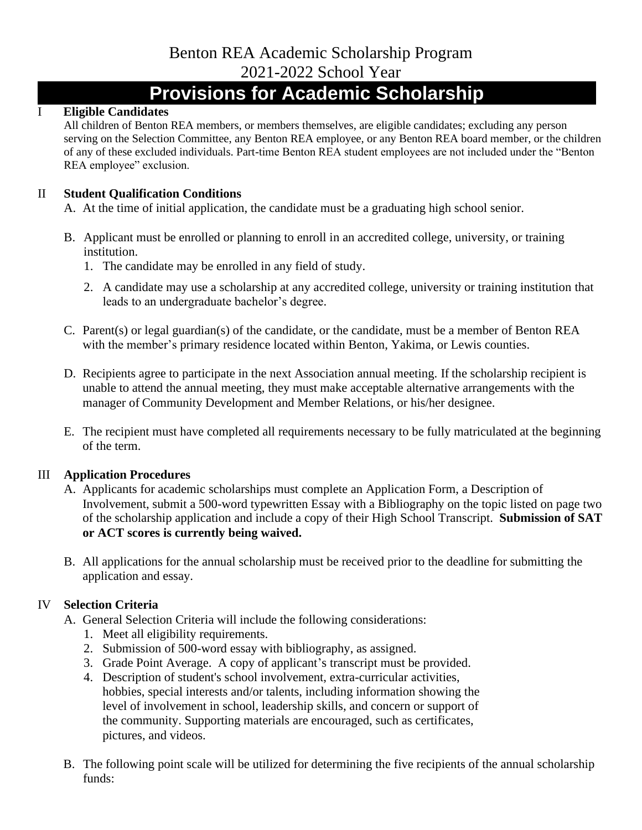# Benton REA Academic Scholarship Program 2021-2022 School Year

# **Provisions for Academic Scholarship**

#### I **Eligible Candidates**

All children of Benton REA members, or members themselves, are eligible candidates; excluding any person serving on the Selection Committee, any Benton REA employee, or any Benton REA board member, or the children of any of these excluded individuals. Part-time Benton REA student employees are not included under the "Benton REA employee" exclusion.

#### II **Student Qualification Conditions**

A. At the time of initial application, the candidate must be a graduating high school senior.

- B. Applicant must be enrolled or planning to enroll in an accredited college, university, or training institution.
	- 1. The candidate may be enrolled in any field of study.
	- 2. A candidate may use a scholarship at any accredited college, university or training institution that leads to an undergraduate bachelor's degree.
- C. Parent(s) or legal guardian(s) of the candidate, or the candidate, must be a member of Benton REA with the member's primary residence located within Benton, Yakima, or Lewis counties.
- D. Recipients agree to participate in the next Association annual meeting. If the scholarship recipient is unable to attend the annual meeting, they must make acceptable alternative arrangements with the manager of Community Development and Member Relations, or his/her designee.
- E. The recipient must have completed all requirements necessary to be fully matriculated at the beginning of the term.

## III **Application Procedures**

- A. Applicants for academic scholarships must complete an Application Form, a Description of Involvement, submit a 500-word typewritten Essay with a Bibliography on the topic listed on page two of the scholarship application and include a copy of their High School Transcript. **Submission of SAT or ACT scores is currently being waived.**
- B. All applications for the annual scholarship must be received prior to the deadline for submitting the application and essay.

## IV **Selection Criteria**

- A. General Selection Criteria will include the following considerations:
	- 1. Meet all eligibility requirements.
	- 2. Submission of 500-word essay with bibliography, as assigned.
	- 3. Grade Point Average. A copy of applicant's transcript must be provided.
	- 4. Description of student's school involvement, extra-curricular activities, hobbies, special interests and/or talents, including information showing the level of involvement in school, leadership skills, and concern or support of the community. Supporting materials are encouraged, such as certificates, pictures, and videos.
- B. The following point scale will be utilized for determining the five recipients of the annual scholarship funds: